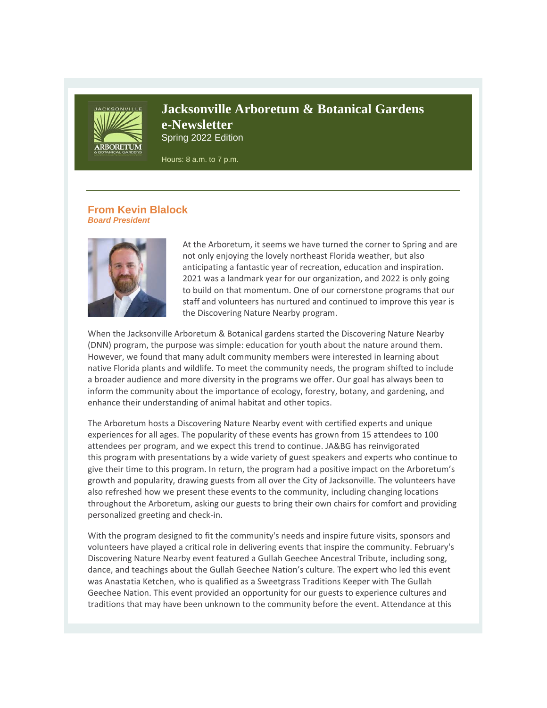

# **Jacksonville Arboretum & Botanical Gardens e-Newsletter** Spring 2022 Edition

Hours: 8 a.m. to 7 p.m.

### **From Kevin Blalock** *Board President*



At the Arboretum, it seems we have turned the corner to Spring and are not only enjoying the lovely northeast Florida weather, but also anticipating a fantastic year of recreation, education and inspiration. 2021 was a landmark year for our organization, and 2022 is only going to build on that momentum. One of our cornerstone programs that our staff and volunteers has nurtured and continued to improve this year is the Discovering Nature Nearby program.

When the Jacksonville Arboretum & Botanical gardens started the Discovering Nature Nearby (DNN) program, the purpose was simple: education for youth about the nature around them. However, we found that many adult community members were interested in learning about native Florida plants and wildlife. To meet the community needs, the program shifted to include a broader audience and more diversity in the programs we offer. Our goal has always been to inform the community about the importance of ecology, forestry, botany, and gardening, and enhance their understanding of animal habitat and other topics.

The Arboretum hosts a Discovering Nature Nearby event with certified experts and unique experiences for all ages. The popularity of these events has grown from 15 attendees to 100 attendees per program, and we expect this trend to continue. JA&BG has reinvigorated this program with presentations by a wide variety of guest speakers and experts who continue to give their time to this program. In return, the program had a positive impact on the Arboretum's growth and popularity, drawing guests from all over the City of Jacksonville. The volunteers have also refreshed how we present these events to the community, including changing locations throughout the Arboretum, asking our guests to bring their own chairs for comfort and providing personalized greeting and check-in.

With the program designed to fit the community's needs and inspire future visits, sponsors and volunteers have played a critical role in delivering events that inspire the community. February's Discovering Nature Nearby event featured a Gullah Geechee Ancestral Tribute, including song, dance, and teachings about the Gullah Geechee Nation's culture. The expert who led this event was Anastatia Ketchen, who is qualified as a Sweetgrass Traditions Keeper with The Gullah Geechee Nation. This event provided an opportunity for our guests to experience cultures and traditions that may have been unknown to the community before the event. Attendance at this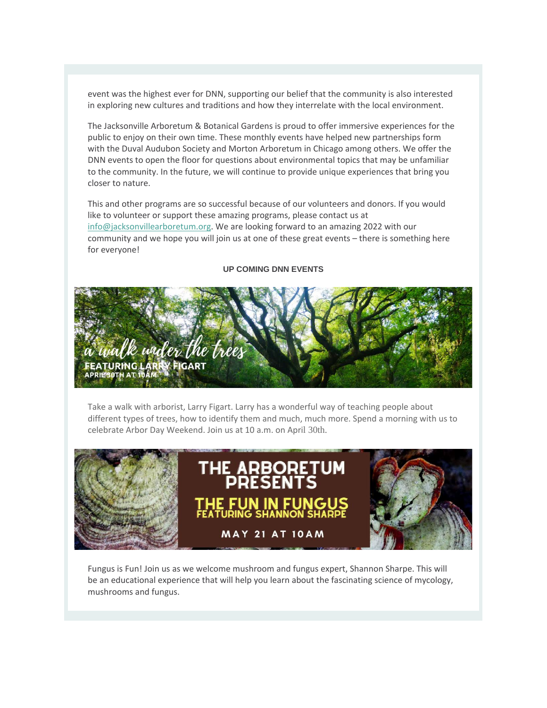event was the highest ever for DNN, supporting our belief that the community is also interested in exploring new cultures and traditions and how they interrelate with the local environment.

The Jacksonville Arboretum & Botanical Gardens is proud to offer immersive experiences for the public to enjoy on their own time. These monthly events have helped new partnerships form with the Duval Audubon Society and Morton Arboretum in Chicago among others. We offer the DNN events to open the floor for questions about environmental topics that may be unfamiliar to the community. In the future, we will continue to provide unique experiences that bring you closer to nature.

This and other programs are so successful because of our volunteers and donors. If you would like to volunteer or support these amazing programs, please contact us at [info@jacksonvillearboretum.org.](mailto:info@jacksonvillearboretum.org) We are looking forward to an amazing 2022 with our community and we hope you will join us at one of these great events – there is something here for everyone!

## **UP COMING DNN EVENTS**



Take a walk with arborist, Larry Figart. Larry has a wonderful way of teaching people about different types of trees, how to identify them and much, much more. Spend a morning with us to celebrate Arbor Day Weekend. Join us at 10 a.m. on April 30th.



Fungus is Fun! Join us as we welcome mushroom and fungus expert, Shannon Sharpe. This will be an educational experience that will help you learn about the fascinating science of mycology, mushrooms and fungus.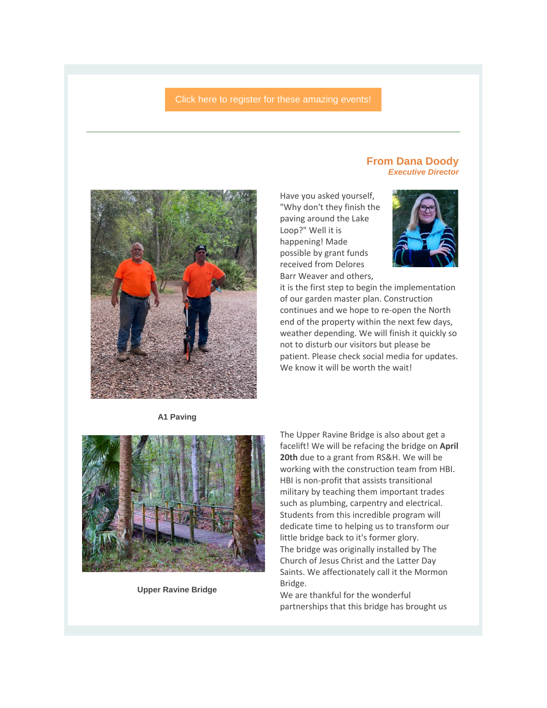### [Click here to register for these amazing events!](https://r20.rs6.net/tn.jsp?f=001XYBD43B98FeW-tq2PvHZERY4AI8aTG9ip1neDahmT03OUgpWekZvIeD-WJa4sjnq9PS6KbA14NdVMUxhuSxK2q6HEK6mao8QCBmmZNtE0SSlIY3-Ji57TP8rXVfrcwaQXzBHce6fVFJSuDVqxBcX51NbKB6LJrOmxq1S6rf83hHbrNty6wr3qVojN8raHo-P&c=hwgR9yL8K2OF9HDD3yPjYRDtK3QAj9KEbVE6lCrUcIDwiva_xO2Now==&ch=BPltMdZqGSJ-nW5R0sCJG0LI71KKAHFuZgaP_mSWUUYVoMycvDm3Uw==)



**A1 Paving**



**Upper Ravine Bridge**

### **From Dana Doody** *Executive Director*

Have you asked yourself, "Why don't they finish the paving around the Lake Loop?" Well it is happening! Made possible by grant funds received from Delores Barr Weaver and others,



it is the first step to begin the implementation of our garden master plan. Construction continues and we hope to re-open the North end of the property within the next few days, weather depending. We will finish it quickly so not to disturb our visitors but please be patient. Please check social media for updates. We know it will be worth the wait!

The Upper Ravine Bridge is also about get a facelift! We will be refacing the bridge on **April 20th** due to a grant from RS&H. We will be working with the construction team from HBI. HBI is non-profit that assists transitional military by teaching them important trades such as plumbing, carpentry and electrical. Students from this incredible program will dedicate time to helping us to transform our little bridge back to it's former glory. The bridge was originally installed by The Church of Jesus Christ and the Latter Day Saints. We affectionately call it the Mormon Bridge.

We are thankful for the wonderful partnerships that this bridge has brought us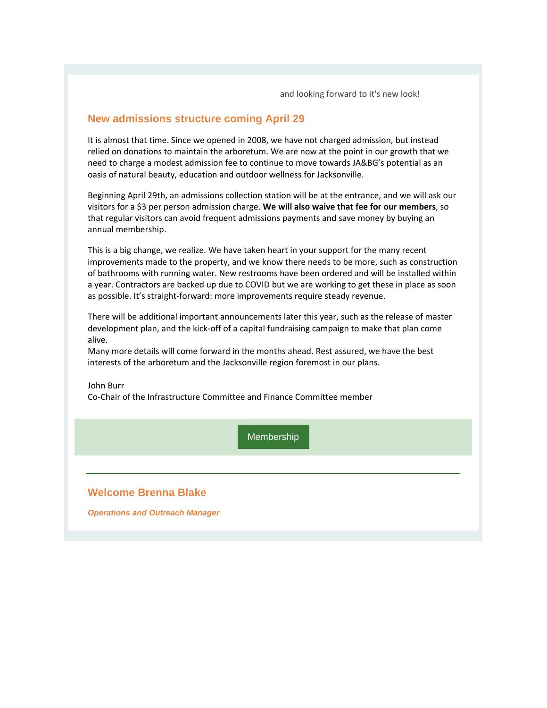and looking forward to it's new look!

## **New admissions structure coming April 29**

It is almost that time. Since we opened in 2008, we have not charged admission, but instead relied on donations to maintain the arboretum. We are now at the point in our growth that we need to charge a modest admission fee to continue to move towards JA&BG's potential as an oasis of natural beauty, education and outdoor wellness for Jacksonville.

Beginning April 29th, an admissions collection station will be at the entrance, and we will ask our visitors for a \$3 per person admission charge. **We will also waive that fee for our members**, so that regular visitors can avoid frequent admissions payments and save money by buying an annual membership.

This is a big change, we realize. We have taken heart in your support for the many recent improvements made to the property, and we know there needs to be more, such as construction of bathrooms with running water. New restrooms have been ordered and will be installed within a year. Contractors are backed up due to COVID but we are working to get these in place as soon as possible. It's straight-forward: more improvements require steady revenue.

There will be additional important announcements later this year, such as the release of master development plan, and the kick-off of a capital fundraising campaign to make that plan come alive.

Many more details will come forward in the months ahead. Rest assured, we have the best interests of the arboretum and the Jacksonville region foremost in our plans.

John Burr

Co-Chair of the Infrastructure Committee and Finance Committee member

**[Membership](https://r20.rs6.net/tn.jsp?f=001XYBD43B98FeW-tq2PvHZERY4AI8aTG9ip1neDahmT03OUgpWekZvIXG7tEKz6JOeCCxBe65iYG-Nv9LiXCAwxHeblvLY4T8LOoN9dQxj2Zwb2-Wp7WrLokYj-C4udZ-yAMzzTL5x_CgDurQWqXY87Jess56xvcIi-EPrMdvq8YOsTNC869Hhsg==&c=hwgR9yL8K2OF9HDD3yPjYRDtK3QAj9KEbVE6lCrUcIDwiva_xO2Now==&ch=BPltMdZqGSJ-nW5R0sCJG0LI71KKAHFuZgaP_mSWUUYVoMycvDm3Uw==)** 

## **Welcome Brenna Blake**

*Operations and Outreach Manager*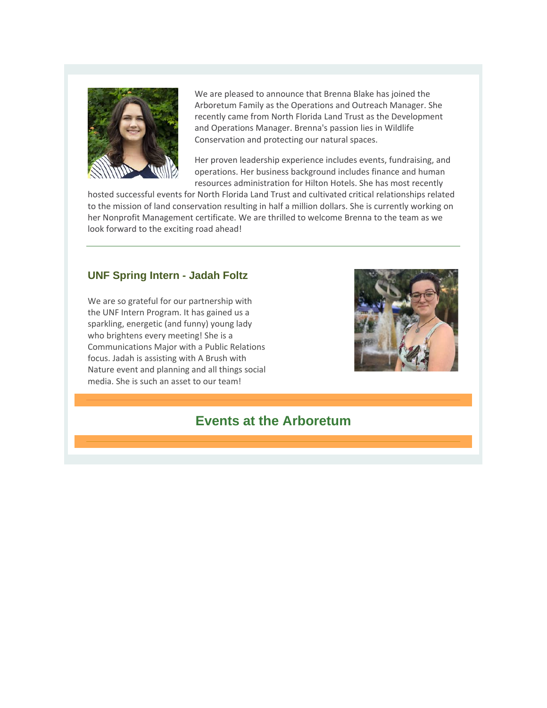

We are pleased to announce that Brenna Blake has joined the Arboretum Family as the Operations and Outreach Manager. She recently came from North Florida Land Trust as the Development and Operations Manager. Brenna's passion lies in Wildlife Conservation and protecting our natural spaces.

Her proven leadership experience includes events, fundraising, and operations. Her business background includes finance and human resources administration for Hilton Hotels. She has most recently

hosted successful events for North Florida Land Trust and cultivated critical relationships related to the mission of land conservation resulting in half a million dollars. She is currently working on her Nonprofit Management certificate. We are thrilled to welcome Brenna to the team as we look forward to the exciting road ahead!

# **UNF Spring Intern - Jadah Foltz**

We are so grateful for our partnership with the UNF Intern Program. It has gained us a sparkling, energetic (and funny) young lady who brightens every meeting! She is a Communications Major with a Public Relations focus. Jadah is assisting with A Brush with Nature event and planning and all things social media. She is such an asset to our team!



# **Events at the Arboretum**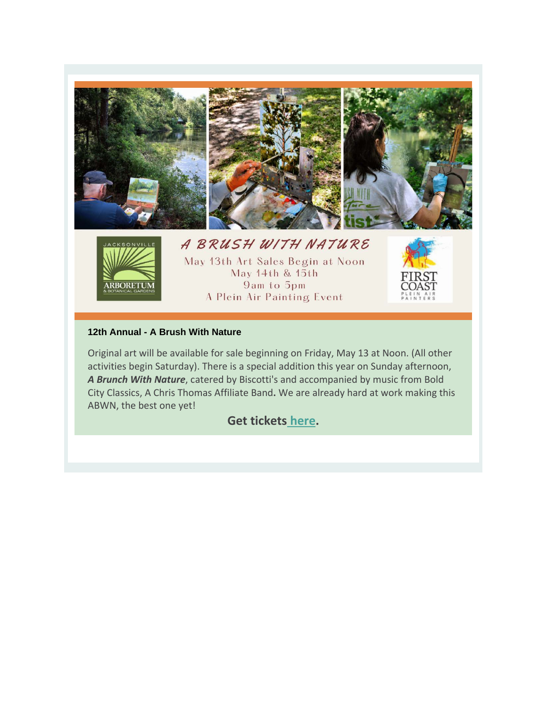

### **12th Annual - A Brush With Nature**

Original art will be available for sale beginning on Friday, May 13 at Noon. (All other activities begin Saturday). There is a special addition this year on Sunday afternoon, *A Brunch With Nature*, catered by Biscotti's and accompanied by music from Bold City Classics, A Chris Thomas Affiliate Band**.** We are already hard at work making this ABWN, the best one yet!

# **Get tickets [here.](https://r20.rs6.net/tn.jsp?f=001XYBD43B98FeW-tq2PvHZERY4AI8aTG9ip1neDahmT03OUgpWekZvIe_ZF29DRtxs-Np1ewRHzVDEu3Yvu3OkdHyt-VS0Sc5b0I8VsPY92B5ZP5xsBWOZMhrxqkl3JcMH1-N6VS77KtN4wYZngImcW5QjhyLL__py38IkUO_fUmi9wEfbyd2Xk_XejtdCYqyzeWRNk02_EhD-XGCPjihUa3DBUOvodUbB&c=hwgR9yL8K2OF9HDD3yPjYRDtK3QAj9KEbVE6lCrUcIDwiva_xO2Now==&ch=BPltMdZqGSJ-nW5R0sCJG0LI71KKAHFuZgaP_mSWUUYVoMycvDm3Uw==)**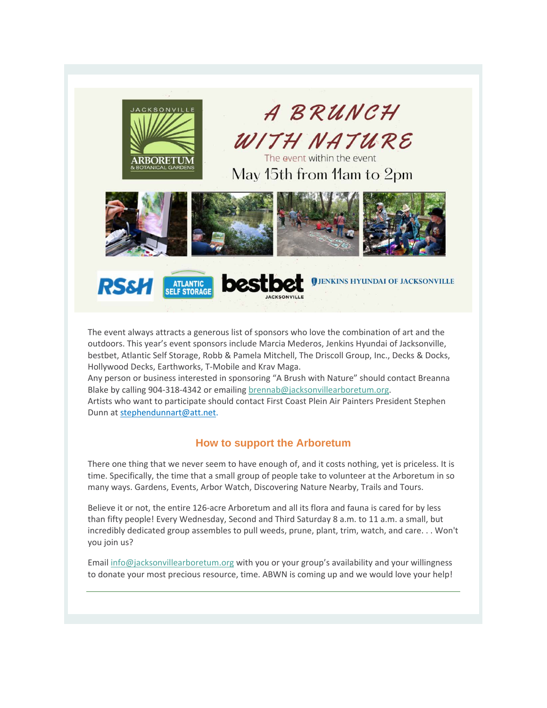

**ATLANTIC<br>SELF STORAGE** 

**RS&H** 

A BRUNCH WITH NATURE

The event within the event May 15th from 11am to 2pm

**JENKINS HYUNDAI OF JACKSONVILLE** 



The event always attracts a generous list of sponsors who love the combination of art and the outdoors. This year's event sponsors include Marcia Mederos, Jenkins Hyundai of Jacksonville, bestbet, Atlantic Self Storage, Robb & Pamela Mitchell, The Driscoll Group, Inc., Decks & Docks, Hollywood Decks, Earthworks, T-Mobile and Krav Maga.

Any person or business interested in sponsoring "A Brush with Nature" should contact Breanna Blake by calling 904-318-4342 or emailing [brennab@jacksonvillearboretum.org.](mailto:brennab@jacksonvillearboretum.org)

Artists who want to participate should contact First Coast Plein Air Painters President Stephen Dunn a[t stephendunnart@att.net.](mailto:stephendunnart@att.net)

## **How to support the Arboretum**

There one thing that we never seem to have enough of, and it costs nothing, yet is priceless. It is time. Specifically, the time that a small group of people take to volunteer at the Arboretum in so many ways. Gardens, Events, Arbor Watch, Discovering Nature Nearby, Trails and Tours.

Believe it or not, the entire 126-acre Arboretum and all its flora and fauna is cared for by less than fifty people! Every Wednesday, Second and Third Saturday 8 a.m. to 11 a.m. a small, but incredibly dedicated group assembles to pull weeds, prune, plant, trim, watch, and care. . . Won't you join us?

Email [info@jacksonvillearboretum.org](mailto:info@jacksonvillearboretum.org) with you or your group's availability and your willingness to donate your most precious resource, time. ABWN is coming up and we would love your help!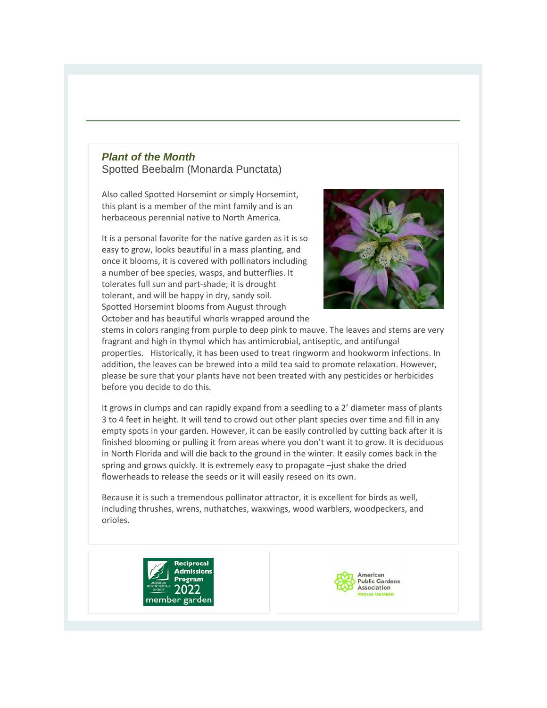## *Plant of the Month* Spotted Beebalm (Monarda Punctata)

Also called Spotted Horsemint or simply Horsemint, this plant is a member of the mint family and is an herbaceous perennial native to North America.

It is a personal favorite for the native garden as it is so easy to grow, looks beautiful in a mass planting, and once it blooms, it is covered with pollinators including a number of bee species, wasps, and butterflies. It tolerates full sun and part-shade; it is drought tolerant, and will be happy in dry, sandy soil. Spotted Horsemint blooms from August through October and has beautiful whorls wrapped around the



stems in colors ranging from purple to deep pink to mauve. The leaves and stems are very fragrant and high in thymol which has antimicrobial, antiseptic, and antifungal properties. Historically, it has been used to treat ringworm and hookworm infections. In addition, the leaves can be brewed into a mild tea said to promote relaxation. However, please be sure that your plants have not been treated with any pesticides or herbicides before you decide to do this.

It grows in clumps and can rapidly expand from a seedling to a 2' diameter mass of plants 3 to 4 feet in height. It will tend to crowd out other plant species over time and fill in any empty spots in your garden. However, it can be easily controlled by cutting back after it is finished blooming or pulling it from areas where you don't want it to grow. It is deciduous in North Florida and will die back to the ground in the winter. It easily comes back in the spring and grows quickly. It is extremely easy to propagate –just shake the dried flowerheads to release the seeds or it will easily reseed on its own.

Because it is such a tremendous pollinator attractor, it is excellent for birds as well, including thrushes, wrens, nuthatches, waxwings, wood warblers, woodpeckers, and orioles.



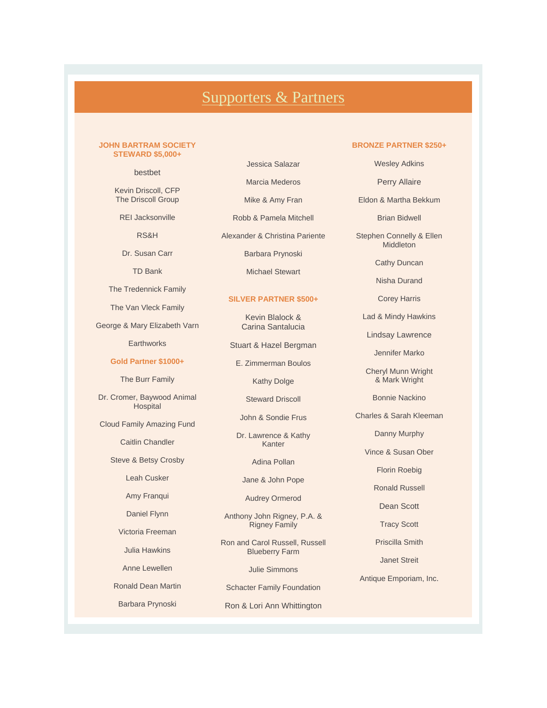# [Supporters & Partners](https://r20.rs6.net/tn.jsp?f=001XYBD43B98FeW-tq2PvHZERY4AI8aTG9ip1neDahmT03OUgpWekZvIQ1MUDSTc0BqwCCxdvjJ2LV93l3ix7VEXYpT5JhRSe8D4TFNl_nmZpFAG5AINN6mbt6UMVuJxW56I_tbeJXGdMCuxULJLhFLSpIeKC5PMZhitSVIph6TbkfMbJx3e3aURQ==&c=hwgR9yL8K2OF9HDD3yPjYRDtK3QAj9KEbVE6lCrUcIDwiva_xO2Now==&ch=BPltMdZqGSJ-nW5R0sCJG0LI71KKAHFuZgaP_mSWUUYVoMycvDm3Uw==)

#### **JOHN BARTRAM SOCIETY STEWARD \$5,000+**

bestbet

Kevin Driscoll, CFP The Driscoll Group

REI Jacksonville

RS&H

Dr. Susan Carr

TD Bank

The Tredennick Family

The Van Vleck Family

George & Mary Elizabeth Varn

**Earthworks** 

### **Gold Partner \$1000+**

The Burr Family

Dr. Cromer, Baywood Animal Hospital

Cloud Family Amazing Fund

Caitlin Chandler

Steve & Betsy Crosby

Leah Cusker

Amy Franqui

Daniel Flynn

Victoria Freeman

Julia Hawkins

Anne Lewellen

Ronald Dean Martin

Barbara Prynoski

Jessica Salazar Marcia Mederos

Mike & Amy Fran

Robb & Pamela Mitchell

Alexander & Christina Pariente

Barbara Prynoski

Michael Stewart

#### **SILVER PARTNER \$500+**

Kevin Blalock & Carina Santalucia

Stuart & Hazel Bergman

E. Zimmerman Boulos

Kathy Dolge

Steward Driscoll

John & Sondie Frus

Dr. Lawrence & Kathy Kanter

Adina Pollan

Jane & John Pope

Audrey Ormerod

Anthony John Rigney, P.A. & Rigney Family

Ron and Carol Russell, Russell Blueberry Farm

Julie Simmons

Schacter Family Foundation

Ron & Lori Ann Whittington

#### **BRONZE PARTNER \$250+**

Wesley Adkins

Perry Allaire

Eldon & Martha Bekkum

Brian Bidwell

Stephen Connelly & Ellen Middleton

Cathy Duncan

Nisha Durand

Corey Harris

Lad & Mindy Hawkins

Lindsay Lawrence

Jennifer Marko

Cheryl Munn Wright & Mark Wright

Bonnie Nackino

Charles & Sarah Kleeman

Danny Murphy

Vince & Susan Ober

Florin Roebig

Ronald Russell

Dean Scott

Tracy Scott

Priscilla Smith

Janet Streit

Antique Emporiam, Inc.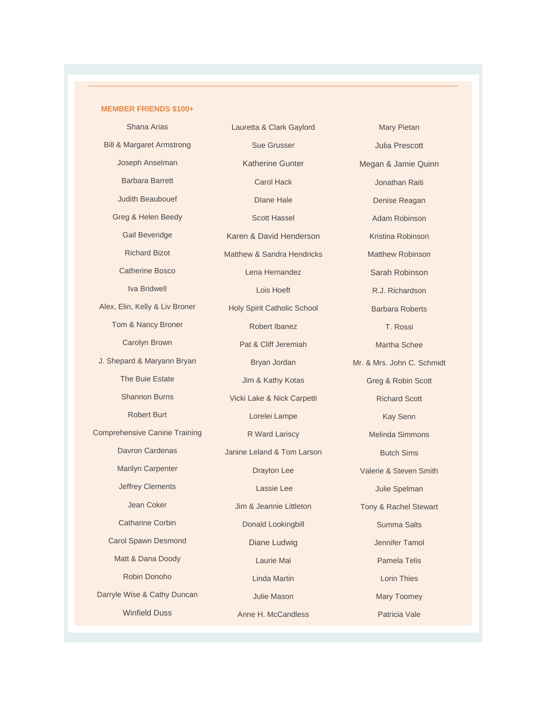#### **MEMBER FRIENDS \$100+**

Shana Arias Bill & Margaret Armstrong Joseph Anselman Barbara Barrett Judith Beaubouef Greg & Helen Beedy Gail Beveridge Richard Bizot Catherine Bosco Iva Bridwell Alex, Elin, Kelly & Liv Broner Tom & Nancy Broner Carolyn Brown J. Shepard & Maryann Bryan The Buie Estate Shannon Burns Robert Burt Comprehensive Canine Training Davron Cardenas Marilyn Carpenter Jeffrey Clements Jean Coker Catharine Corbin Carol Spawn Desmond Matt & Dana Doody Robin Donoho Darryle Wise & Cathy Duncan Winfield Duss

Lauretta & Clark Gaylord Sue Grusser Katherine Gunter Carol Hack DIane Hale Scott Hassel Karen & David Henderson Matthew & Sandra Hendricks Lena Hernandez Lois Hoeft Holy Spirit Catholic School Robert Ibanez Pat & Cliff Jeremiah Bryan Jordan Jim & Kathy Kotas Vicki Lake & Nick Carpetti Lorelei Lampe R Ward Lariscy Janine Leland & Tom Larson Drayton Lee Lassie Lee Jim & Jeannie Littleton Donald Lookingbill Diane Ludwig Laurie Mai Linda Martin Julie Mason Anne H. McCandless

Mary Pietan Julia Prescott Megan & Jamie Quinn Jonathan Raiti Denise Reagan Adam Robinson Kristina Robinson Matthew Robinson Sarah Robinson R.J. Richardson Barbara Roberts T. Rossi Martha Schee Mr. & Mrs. John C. Schmidt Greg & Robin Scott Richard Scott Kay Senn Melinda Simmons Butch Sims Valerie & Steven Smith Julie Spelman Tony & Rachel Stewart Summa Salts Jennifer Tamol Pamela Telis Lorin Thies Mary Toomey Patricia Vale